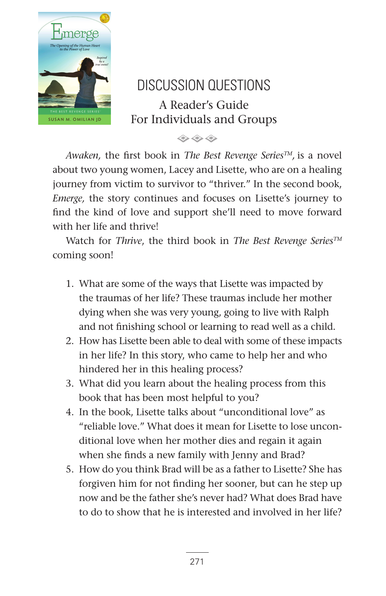

## DISCUSSION QUESTIONS A Reader's Guide For Individuals and Groups

 $\Leftrightarrow$   $\Leftrightarrow$   $\Leftrightarrow$ 

*Awaken,* the first book in *The Best Revenge SeriesTM,* is a novel about two young women, Lacey and Lisette, who are on a healing journey from victim to survivor to "thriver." In the second book, *Emerge,* the story continues and focuses on Lisette's journey to find the kind of love and support she'll need to move forward with her life and thrive!

Watch for *Thrive*, the third book in *The Best Revenge SeriesTM* coming soon!

- 1. What are some of the ways that Lisette was impacted by the traumas of her life? These traumas include her mother dying when she was very young, going to live with Ralph and not finishing school or learning to read well as a child.
- 2. How has Lisette been able to deal with some of these impacts in her life? In this story, who came to help her and who hindered her in this healing process?
- 3. What did you learn about the healing process from this book that has been most helpful to you?
- 4. In the book, Lisette talks about "unconditional love" as "reliable love." What does it mean for Lisette to lose unconditional love when her mother dies and regain it again when she finds a new family with Jenny and Brad?
- 5. How do you think Brad will be as a father to Lisette? She has forgiven him for not finding her sooner, but can he step up now and be the father she's never had? What does Brad have to do to show that he is interested and involved in her life?